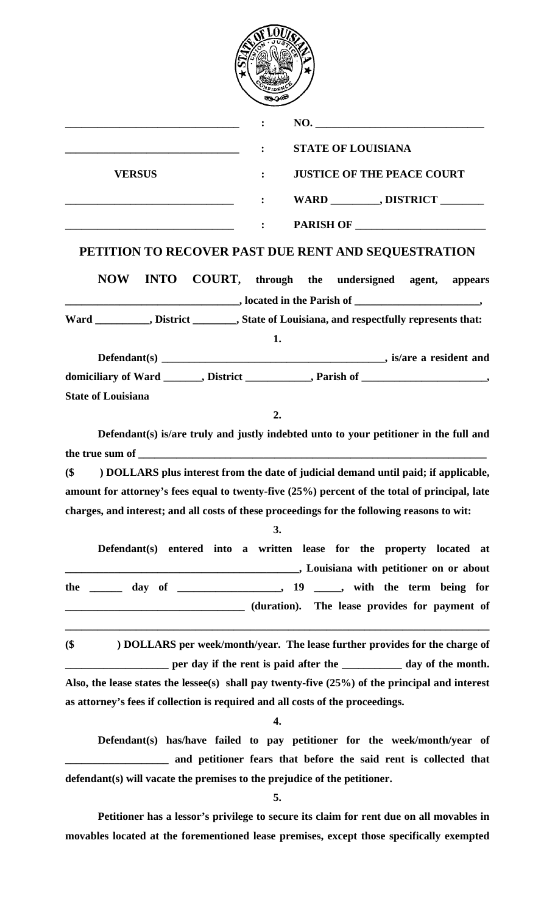|--|

|                           | NO.                                                                                     |
|---------------------------|-----------------------------------------------------------------------------------------|
|                           | <b>STATE OF LOUISIANA</b>                                                               |
| <b>VERSUS</b>             | <b>JUSTICE OF THE PEACE COURT</b>                                                       |
|                           | WARD __________, DISTRICT ________                                                      |
|                           | PARISH OF<br>$\mathbf{E}$ . The set of $\mathbf{E}$                                     |
|                           | PETITION TO RECOVER PAST DUE RENT AND SEQUESTRATION                                     |
|                           | NOW INTO COURT, through the undersigned agent, appears                                  |
|                           | $\blacksquare$ . Note that the Parish of $\blacksquare$                                 |
|                           | Ward _________, District _______, State of Louisiana, and respectfully represents that: |
|                           | 1.                                                                                      |
|                           |                                                                                         |
|                           | domiciliary of Ward _______, District __________, Parish of __________________,         |
| <b>State of Louisiana</b> |                                                                                         |

**2.** 

 **Defendant(s) is/are truly and justly indebted unto to your petitioner in the full and**  the true sum of

**(\$ ) DOLLARS plus interest from the date of judicial demand until paid; if applicable, amount for attorney's fees equal to twenty-five (25%) percent of the total of principal, late charges, and interest; and all costs of these proceedings for the following reasons to wit:** 

|     | Defendant(s) entered into a written lease for the property located at |  |                                               |  |  |                                         |  |
|-----|-----------------------------------------------------------------------|--|-----------------------------------------------|--|--|-----------------------------------------|--|
|     |                                                                       |  |                                               |  |  | , Louisiana with petitioner on or about |  |
| the |                                                                       |  |                                               |  |  |                                         |  |
|     |                                                                       |  | (duration). The lease provides for payment of |  |  |                                         |  |

**(\$ ) DOLLARS per week/month/year. The lease further provides for the charge of**  per day if the rent is paid after the **\_\_\_\_\_\_\_\_\_\_** day of the month. **Also, the lease states the lessee(s) shall pay twenty-five (25%) of the principal and interest as attorney's fees if collection is required and all costs of the proceedings.** 

**\_\_\_\_\_\_\_\_\_\_\_\_\_\_\_\_\_\_\_\_\_\_\_\_\_\_\_\_\_\_\_\_\_\_\_\_\_\_\_\_\_\_\_\_\_\_\_\_\_\_\_\_\_\_\_\_\_\_\_\_\_\_\_\_\_\_\_\_\_\_\_\_\_\_\_\_\_\_** 

**4.** 

 **Defendant(s) has/have failed to pay petitioner for the week/month/year of \_\_\_\_\_\_\_\_\_\_\_\_\_\_\_\_\_\_\_ and petitioner fears that before the said rent is collected that defendant(s) will vacate the premises to the prejudice of the petitioner.** 

**5.** 

**Petitioner has a lessor's privilege to secure its claim for rent due on all movables in movables located at the forementioned lease premises, except those specifically exempted**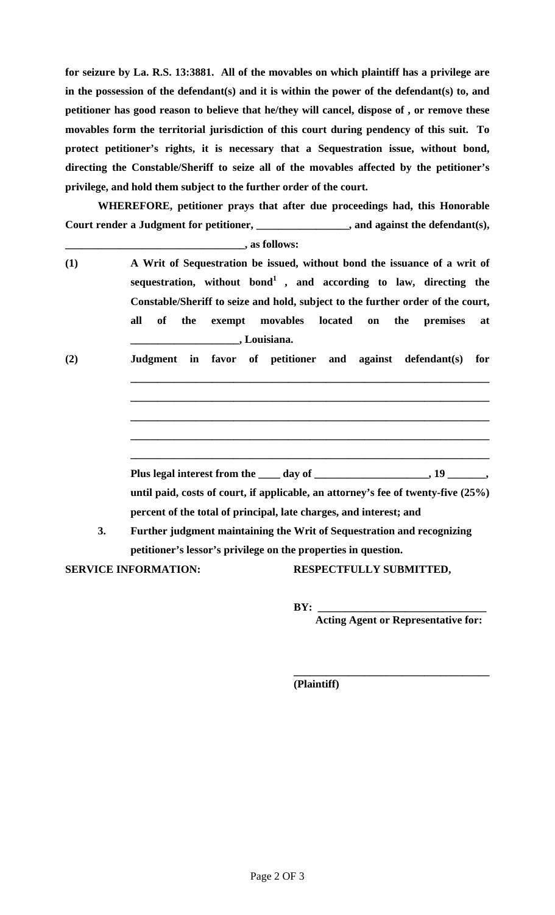**for seizure by La. R.S. 13:3881. All of the movables on which plaintiff has a privilege are in the possession of the defendant(s) and it is within the power of the defendant(s) to, and petitioner has good reason to believe that he/they will cancel, dispose of , or remove these movables form the territorial jurisdiction of this court during pendency of this suit. To protect petitioner's rights, it is necessary that a Sequestration issue, without bond, directing the Constable/Sheriff to seize all of the movables affected by the petitioner's privilege, and hold them subject to the further order of the court.** 

**WHEREFORE, petitioner prays that after due proceedings had, this Honorable Court render a Judgment for petitioner, \_\_\_\_\_\_\_\_\_\_\_\_\_\_\_\_\_, and against the defendant(s),** 

**\_\_\_\_\_\_\_\_\_\_\_\_\_\_\_\_\_\_\_\_\_\_\_\_\_\_\_\_\_\_\_\_\_, as follows:** 

- **(1) A Writ of Sequestration be issued, without bond the issuance of a writ of sequestration, without bond1 , and according to law, directing the Constable/Sheriff to seize and hold, subject to the further order of the court, all of the exempt movables located on the premises at \_\_\_\_\_\_\_\_\_\_\_\_\_\_\_\_\_\_\_\_, Louisiana.**
- **(2) Judgment in favor of petitioner and against defendant(s) for**

Plus legal interest from the <u>equal properties and the set of  $\frac{1}{2}$ </u> day of <u>equal properties</u> and  $\frac{1}{2}$  and  $\frac{1}{2}$  and  $\frac{1}{2}$  and  $\frac{1}{2}$  and  $\frac{1}{2}$  and  $\frac{1}{2}$  and  $\frac{1}{2}$  and  $\frac{1}{2}$  and  $\frac{1}{2$ **until paid, costs of court, if applicable, an attorney's fee of twenty-five (25%) percent of the total of principal, late charges, and interest; and 3. Further judgment maintaining the Writ of Sequestration and recognizing** 

**\_\_\_\_\_\_\_\_\_\_\_\_\_\_\_\_\_\_\_\_\_\_\_\_\_\_\_\_\_\_\_\_\_\_\_\_\_\_\_\_\_\_\_\_\_\_\_\_\_\_\_\_\_\_\_\_\_\_\_\_\_\_\_\_\_\_**

**\_\_\_\_\_\_\_\_\_\_\_\_\_\_\_\_\_\_\_\_\_\_\_\_\_\_\_\_\_\_\_\_\_\_\_\_\_\_\_\_\_\_\_\_\_\_\_\_\_\_\_\_\_\_\_\_\_\_\_\_\_\_\_\_\_\_**

**\_\_\_\_\_\_\_\_\_\_\_\_\_\_\_\_\_\_\_\_\_\_\_\_\_\_\_\_\_\_\_\_\_\_\_\_\_\_\_\_\_\_\_\_\_\_\_\_\_\_\_\_\_\_\_\_\_\_\_\_\_\_\_\_\_\_**

**\_\_\_\_\_\_\_\_\_\_\_\_\_\_\_\_\_\_\_\_\_\_\_\_\_\_\_\_\_\_\_\_\_\_\_\_\_\_\_\_\_\_\_\_\_\_\_\_\_\_\_\_\_\_\_\_\_\_\_\_\_\_\_\_\_\_**

**\_\_\_\_\_\_\_\_\_\_\_\_\_\_\_\_\_\_\_\_\_\_\_\_\_\_\_\_\_\_\_\_\_\_\_\_\_\_\_\_\_\_\_\_\_\_\_\_\_\_\_\_\_\_\_\_\_\_\_\_\_\_\_\_\_\_** 

 **petitioner's lessor's privilege on the properties in question. SERVICE INFORMATION: RESPECTFULLY SUBMITTED,** 

 $\overline{\phantom{a}}$  ,  $\overline{\phantom{a}}$  ,  $\overline{\phantom{a}}$  ,  $\overline{\phantom{a}}$  ,  $\overline{\phantom{a}}$  ,  $\overline{\phantom{a}}$  ,  $\overline{\phantom{a}}$  ,  $\overline{\phantom{a}}$  ,  $\overline{\phantom{a}}$  ,  $\overline{\phantom{a}}$  ,  $\overline{\phantom{a}}$  ,  $\overline{\phantom{a}}$  ,  $\overline{\phantom{a}}$  ,  $\overline{\phantom{a}}$  ,  $\overline{\phantom{a}}$  ,  $\overline{\phantom{a}}$ 

 **BY: \_\_\_\_\_\_\_\_\_\_\_\_\_\_\_\_\_\_\_\_\_\_\_\_\_\_\_\_\_\_\_** 

 **Acting Agent or Representative for:** 

 **(Plaintiff)**